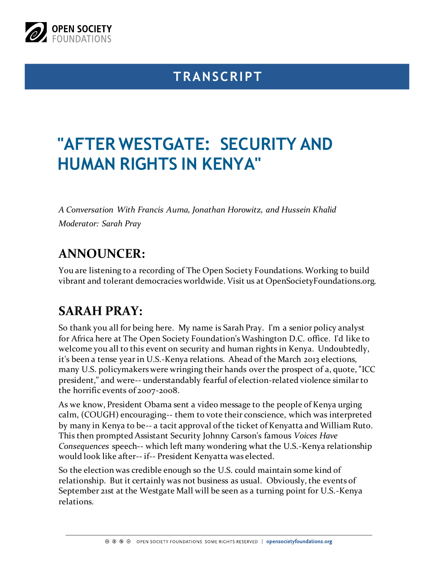

# **TRANSCRIPT**

# **"AFTER WESTGATE: SECURITY AND HUMAN RIGHTS IN KENYA"**

*A Conversation With Francis Auma, Jonathan Horowitz, and Hussein Khalid Moderator: Sarah Pray*

# **ANNOUNCER:**

You are listening to a recording of The Open Society Foundations. Working to build vibrant and tolerant democracies worldwide. Visit us at OpenSocietyFoundations.org.

# **SARAH PRAY:**

So thank you all for being here. My name is Sarah Pray. I'm a senior policy analyst for Africa here at The Open Society Foundation's Washington D.C. office. I'd like to welcome you all to this event on security and human rights in Kenya. Undoubtedly, it's been a tense year in U.S.-Kenya relations. Ahead of the March 2013 elections, many U.S. policymakers were wringing their hands over the prospect of a, quote, "ICC president," and were-- understandably fearful of election-related violence similar to the horrific events of 2007-2008.

As we know, President Obama sent a video message to the people of Kenya urging calm, (COUGH) encouraging-- them to vote their conscience, which was interpreted by many in Kenya to be-- a tacit approval of the ticket of Kenyatta and William Ruto. This then prompted Assistant Security Johnny Carson's famous *Voices Have Consequences* speech-- which left many wondering what the U.S.-Kenya relationship would look like after-- if-- President Kenyatta was elected.

So the election was credible enough so the U.S. could maintain some kind of relationship. But it certainly was not business as usual. Obviously, the events of September 21st at the Westgate Mall will be seen as a turning point for U.S.-Kenya relations.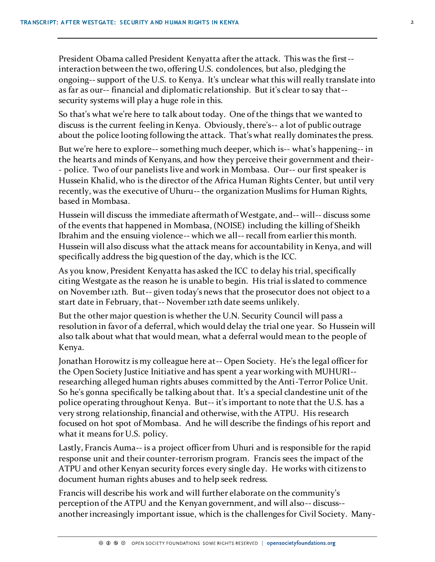President Obama called President Kenyatta after the attack. This was the first- interaction between the two, offering U.S. condolences, but also, pledging the ongoing-- support of the U.S. to Kenya. It's unclear what this will really translate into as far as our-- financial and diplomatic relationship. But it's clear to say that- security systems will play a huge role in this.

So that's what we're here to talk about today. One of the things that we wanted to discuss is the current feeling in Kenya. Obviously, there's-- a lot of public outrage about the police looting following the attack. That's what really dominates the press.

But we're here to explore-- something much deeper, which is-- what's happening-- in the hearts and minds of Kenyans, and how they perceive their government and their- - police. Two of our panelists live and work in Mombasa. Our-- our first speaker is Hussein Khalid, who is the director of the Africa Human Rights Center, but until very recently, was the executive of Uhuru-- the organization Muslims for Human Rights, based in Mombasa.

Hussein will discuss the immediate aftermath of Westgate, and-- will-- discuss some of the events that happened in Mombasa, (NOISE) including the killing of Sheikh Ibrahim and the ensuing violence-- which we all-- recall from earlier this month. Hussein will also discuss what the attack means for accountability in Kenya, and will specifically address the big question of the day, which is the ICC.

As you know, President Kenyatta has asked the ICC to delay his trial, specifically citing Westgate as the reason he is unable to begin. His trial is slated to commence on November 12th. But-- given today's news that the prosecutor does not object to a start date in February, that-- November 12th date seems unlikely.

But the other major question is whether the U.N. Security Council will pass a resolution in favor of a deferral, which would delay the trial one year. So Hussein will also talk about what that would mean, what a deferral would mean to the people of Kenya.

Jonathan Horowitz is my colleague here at-- Open Society. He's the legal officer for the Open Society Justice Initiative and has spent a year working with MUHURI- researching alleged human rights abuses committed by the Anti-Terror Police Unit. So he's gonna specifically be talking about that. It's a special clandestine unit of the police operating throughout Kenya. But-- it's important to note that the U.S. has a very strong relationship, financial and otherwise, with the ATPU. His research focused on hot spot of Mombasa. And he will describe the findings of his report and what it means for U.S. policy.

Lastly, Francis Auma-- is a project officer from Uhuri and is responsible for the rapid response unit and their counter-terrorism program. Francis sees the impact of the ATPU and other Kenyan security forces every single day. He works with citizens to document human rights abuses and to help seek redress.

Francis will describe his work and will further elaborate on the community's perception of the ATPU and the Kenyan government, and will also-- discuss- another increasingly important issue, which is the challenges for Civil Society. Many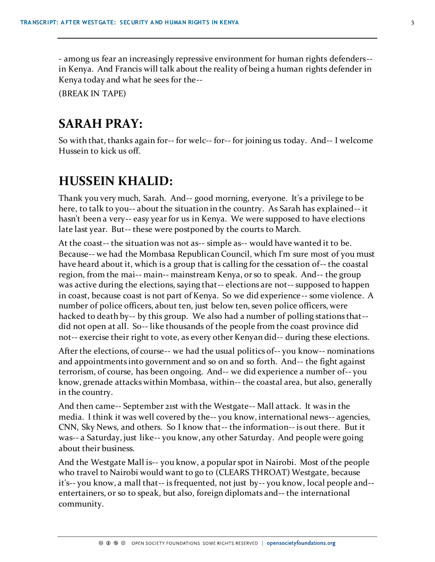- among us fear an increasingly repressive environment for human rights defenders- in Kenya. And Francis will talk about the reality of being a human rights defender in Kenya today and what he sees for the--

(BREAK IN TAPE)

### **SARAH PRAY:**

So with that, thanks again for-- for welc-- for-- for joining us today. And-- I welcome Hussein to kick us off.

### **HUSSEIN KHALID:**

Thank you very much, Sarah. And-- good morning, everyone. It's a privilege to be here, to talk to you-- about the situation in the country. As Sarah has explained-- it hasn't been a very-- easy year for us in Kenya. We were supposed to have elections late last year. But-- these were postponed by the courts to March.

At the coast-- the situation was not as-- simple as-- would have wanted it to be. Because-- we had the Mombasa Republican Council, which I'm sure most of you must have heard about it, which is a group that is calling for the cessation of-- the coastal region, from the mai-- main-- mainstream Kenya, or so to speak. And-- the group was active during the elections, saying that-- elections are not-- supposed to happen in coast, because coast is not part of Kenya. So we did experience-- some violence. A number of police officers, about ten, just below ten, seven police officers, were hacked to death by-- by this group. We also had a number of polling stations that- did not open at all. So-- like thousands of the people from the coast province did not-- exercise their right to vote, as every other Kenyan did-- during these elections.

After the elections, of course-- we had the usual politics of-- you know-- nominations and appointments into government and so on and so forth. And-- the fight against terrorism, of course, has been ongoing. And-- we did experience a number of-- you know, grenade attacks within Mombasa, within-- the coastal area, but also, generally in the country.

And then came-- September 21st with the Westgate-- Mall attack. It was in the media. I think it was well covered by the-- you know, international news-- agencies, CNN, Sky News, and others. So I know that-- the information-- is out there. But it was-- a Saturday, just like-- you know, any other Saturday. And people were going about their business.

And the Westgate Mall is-- you know, a popular spot in Nairobi. Most of the people who travel to Nairobi would want to go to (CLEARS THROAT) Westgate, because it's-- you know, a mall that-- is frequented, not just by-- you know, local people and- entertainers, or so to speak, but also, foreign diplomats and-- the international community.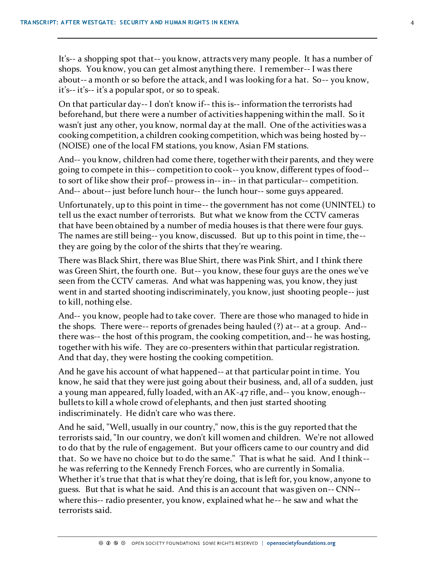It's-- a shopping spot that-- you know, attracts very many people. It has a number of shops. You know, you can get almost anything there. I remember-- I was there about-- a month or so before the attack, and I was looking for a hat. So-- you know, it's-- it's-- it's a popular spot, or so to speak.

On that particular day-- I don't know if-- this is-- information the terrorists had beforehand, but there were a number of activities happening within the mall. So it wasn't just any other, you know, normal day at the mall. One of the activities was a cooking competition, a children cooking competition, which was being hosted by-- (NOISE) one of the local FM stations, you know, Asian FM stations.

And-- you know, children had come there, together with their parents, and they were going to compete in this-- competition to cook-- you know, different types of food- to sort of like show their prof-- prowess in-- in-- in that particular-- competition. And-- about-- just before lunch hour-- the lunch hour-- some guys appeared.

Unfortunately, up to this point in time-- the government has not come (UNINTEL) to tell us the exact number of terrorists. But what we know from the CCTV cameras that have been obtained by a number of media houses is that there were four guys. The names are still being-- you know, discussed. But up to this point in time, the- they are going by the color of the shirts that they're wearing.

There was Black Shirt, there was Blue Shirt, there was Pink Shirt, and I think there was Green Shirt, the fourth one. But-- you know, these four guys are the ones we've seen from the CCTV cameras. And what was happening was, you know, they just went in and started shooting indiscriminately, you know, just shooting people-- just to kill, nothing else.

And-- you know, people had to take cover. There are those who managed to hide in the shops. There were-- reports of grenades being hauled (?) at-- at a group. And- there was-- the host of this program, the cooking competition, and-- he was hosting, together with his wife. They are co-presenters within that particular registration. And that day, they were hosting the cooking competition.

And he gave his account of what happened-- at that particular point in time. You know, he said that they were just going about their business, and, all of a sudden, just a young man appeared, fully loaded, with an AK-47 rifle, and-- you know, enough- bullets to kill a whole crowd of elephants, and then just started shooting indiscriminately. He didn't care who was there.

And he said, "Well, usually in our country," now, this is the guy reported that the terrorists said, "In our country, we don't kill women and children. We're not allowed to do that by the rule of engagement. But your officers came to our country and did that. So we have no choice but to do the same." That is what he said. And I think- he was referring to the Kennedy French Forces, who are currently in Somalia. Whether it's true that that is what they're doing, that is left for, you know, anyone to guess. But that is what he said. And this is an account that was given on-- CNN- where this-- radio presenter, you know, explained what he-- he saw and what the terrorists said.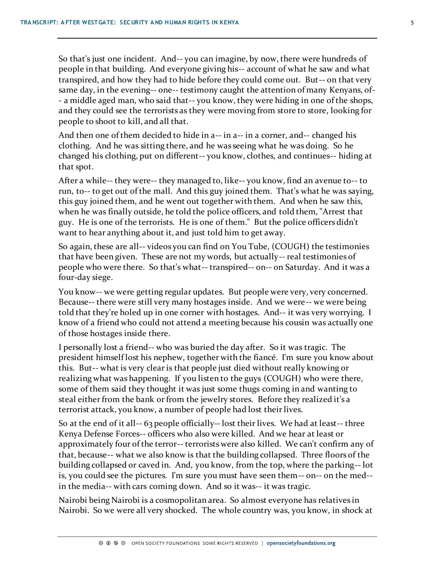So that's just one incident. And-- you can imagine, by now, there were hundreds of people in that building. And everyone giving his-- account of what he saw and what transpired, and how they had to hide before they could come out. But-- on that very same day, in the evening-- one-- testimony caught the attention of many Kenyans, of- - a middle aged man, who said that-- you know, they were hiding in one of the shops, and they could see the terrorists as they were moving from store to store, looking for people to shoot to kill, and all that.

And then one of them decided to hide in a-- in a-- in a corner, and-- changed his clothing. And he was sitting there, and he was seeing what he was doing. So he changed his clothing, put on different-- you know, clothes, and continues-- hiding at that spot.

After a while-- they were-- they managed to, like-- you know, find an avenue to-- to run, to-- to get out of the mall. And this guy joined them. That's what he was saying, this guy joined them, and he went out together with them. And when he saw this, when he was finally outside, he told the police officers, and told them, "Arrest that guy. He is one of the terrorists. He is one of them." But the police officers didn't want to hear anything about it, and just told him to get away.

So again, these are all-- videos you can find on You Tube, (COUGH) the testimonies that have been given. These are not my words, but actually-- real testimonies of people who were there. So that's what-- transpired-- on-- on Saturday. And it was a four-day siege.

You know-- we were getting regular updates. But people were very, very concerned. Because-- there were still very many hostages inside. And we were-- we were being told that they're holed up in one corner with hostages. And-- it was very worrying. I know of a friend who could not attend a meeting because his cousin was actually one of those hostages inside there.

I personally lost a friend-- who was buried the day after. So it was tragic. The president himself lost his nephew, together with the fiancé. I'm sure you know about this. But-- what is very clear is that people just died without really knowing or realizing what was happening. If you listen to the guys (COUGH) who were there, some of them said they thought it was just some thugs coming in and wanting to steal either from the bank or from the jewelry stores. Before they realized it's a terrorist attack, you know, a number of people had lost their lives.

So at the end of it all-- 63 people officially-- lost their lives. We had at least-- three Kenya Defense Forces-- officers who also were killed. And we hear at least or approximately four of the terror-- terrorists were also killed. We can't confirm any of that, because-- what we also know is that the building collapsed. Three floors of the building collapsed or caved in. And, you know, from the top, where the parking-- lot is, you could see the pictures. I'm sure you must have seen them-- on-- on the med- in the media-- with cars coming down. And so it was-- it was tragic.

Nairobi being Nairobi is a cosmopolitan area. So almost everyone has relatives in Nairobi. So we were all very shocked. The whole country was, you know, in shock at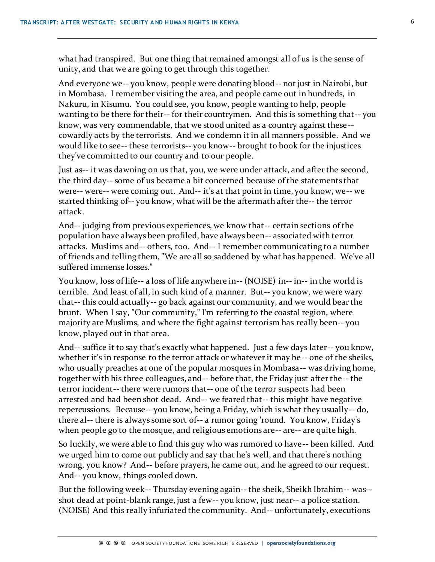what had transpired. But one thing that remained amongst all of us is the sense of unity, and that we are going to get through this together.

And everyone we-- you know, people were donating blood-- not just in Nairobi, but in Mombasa. I remember visiting the area, and people came out in hundreds, in Nakuru, in Kisumu. You could see, you know, people wanting to help, people wanting to be there for their-- for their countrymen. And this is something that-- you know, was very commendable, that we stood united as a country against these- cowardly acts by the terrorists. And we condemn it in all manners possible. And we would like to see-- these terrorists-- you know-- brought to book for the injustices they've committed to our country and to our people.

Just as-- it was dawning on us that, you, we were under attack, and after the second, the third day-- some of us became a bit concerned because of the statements that were-- were-- were coming out. And-- it's at that point in time, you know, we-- we started thinking of-- you know, what will be the aftermath after the-- the terror attack.

And-- judging from previous experiences, we know that-- certain sections of the population have always been profiled, have always been-- associated with terror attacks. Muslims and-- others, too. And-- I remember communicating to a number of friends and telling them, "We are all so saddened by what has happened. We've all suffered immense losses."

You know, loss of life-- a loss of life anywhere in-- (NOISE) in-- in-- in the world is terrible. And least of all, in such kind of a manner. But-- you know, we were wary that-- this could actually-- go back against our community, and we would bear the brunt. When I say, "Our community," I'm referring to the coastal region, where majority are Muslims, and where the fight against terrorism has really been-- you know, played out in that area.

And-- suffice it to say that's exactly what happened. Just a few days later-- you know, whether it's in response to the terror attack or whatever it may be-- one of the sheiks, who usually preaches at one of the popular mosques in Mombasa-- was driving home, together with his three colleagues, and-- before that, the Friday just after the-- the terror incident-- there were rumors that-- one of the terror suspects had been arrested and had been shot dead. And-- we feared that-- this might have negative repercussions. Because-- you know, being a Friday, which is what they usually-- do, there al-- there is always some sort of-- a rumor going 'round. You know, Friday's when people go to the mosque, and religious emotions are-- are-- are quite high.

So luckily, we were able to find this guy who was rumored to have-- been killed. And we urged him to come out publicly and say that he's well, and that there's nothing wrong, you know? And-- before prayers, he came out, and he agreed to our request. And-- you know, things cooled down.

But the following week-- Thursday evening again-- the sheik, Sheikh Ibrahim-- was- shot dead at point-blank range, just a few-- you know, just near-- a police station. (NOISE) And this really infuriated the community. And-- unfortunately, executions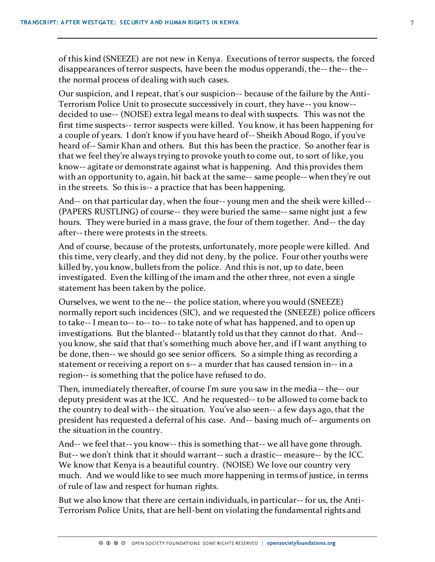of this kind (SNEEZE) are not new in Kenya. Executions of terror suspects, the forced disappearances of terror suspects, have been the modus opperandi, the-- the-- the- the normal process of dealing with such cases.

Our suspicion, and I repeat, that's our suspicion-- because of the failure by the Anti-Terrorism Police Unit to prosecute successively in court, they have-- you know- decided to use-- (NOISE) extra legal means to deal with suspects. This was not the first time suspects-- terror suspects were killed. You know, it has been happening for a couple of years. I don't know if you have heard of-- Sheikh Aboud Rogo, if you've heard of-- Samir Khan and others. But this has been the practice. So another fear is that we feel they're always trying to provoke youth to come out, to sort of like, you know-- agitate or demonstrate against what is happening. And this provides them with an opportunity to, again, hit back at the same-- same people-- when they're out in the streets. So this is-- a practice that has been happening.

And-- on that particular day, when the four-- young men and the sheik were killed-- (PAPERS RUSTLING) of course-- they were buried the same-- same night just a few hours. They were buried in a mass grave, the four of them together. And-- the day after-- there were protests in the streets.

And of course, because of the protests, unfortunately, more people were killed. And this time, very clearly, and they did not deny, by the police. Four other youths were killed by, you know, bullets from the police. And this is not, up to date, been investigated. Even the killing of the imam and the other three, not even a single statement has been taken by the police.

Ourselves, we went to the ne-- the police station, where you would (SNEEZE) normally report such incidences (SIC), and we requested the (SNEEZE) police officers to take-- I mean to-- to-- to-- to take note of what has happened, and to open up investigations. But the blanted-- blatantly told us that they cannot do that. And- you know, she said that that's something much above her, and if I want anything to be done, then-- we should go see senior officers. So a simple thing as recording a statement or receiving a report on s-- a murder that has caused tension in-- in a region-- is something that the police have refused to do.

Then, immediately thereafter, of course I'm sure you saw in the media-- the-- our deputy president was at the ICC. And he requested-- to be allowed to come back to the country to deal with-- the situation. You've also seen-- a few days ago, that the president has requested a deferral of his case. And-- basing much of-- arguments on the situation in the country.

And-- we feel that-- you know-- this is something that-- we all have gone through. But-- we don't think that it should warrant-- such a drastic-- measure-- by the ICC. We know that Kenya is a beautiful country. (NOISE) We love our country very much. And we would like to see much more happening in terms of justice, in terms of rule of law and respect for human rights.

But we also know that there are certain individuals, in particular-- for us, the Anti-Terrorism Police Units, that are hell-bent on violating the fundamental rights and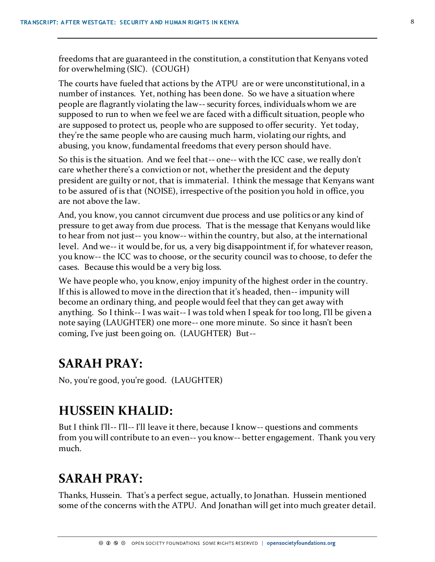freedoms that are guaranteed in the constitution, a constitution that Kenyans voted for overwhelming (SIC). (COUGH)

The courts have fueled that actions by the ATPU are or were unconstitutional, in a number of instances. Yet, nothing has been done. So we have a situation where people are flagrantly violating the law-- security forces, individuals whom we are supposed to run to when we feel we are faced with a difficult situation, people who are supposed to protect us, people who are supposed to offer security. Yet today, they're the same people who are causing much harm, violating our rights, and abusing, you know, fundamental freedoms that every person should have.

So this is the situation. And we feel that-- one-- with the ICC case, we really don't care whether there's a conviction or not, whether the president and the deputy president are guilty or not, that is immaterial. I think the message that Kenyans want to be assured of is that (NOISE), irrespective of the position you hold in office, you are not above the law.

And, you know, you cannot circumvent due process and use politics or any kind of pressure to get away from due process. That is the message that Kenyans would like to hear from not just-- you know-- within the country, but also, at the international level. And we-- it would be, for us, a very big disappointment if, for whatever reason, you know-- the ICC was to choose, or the security council was to choose, to defer the cases. Because this would be a very big loss.

We have people who, you know, enjoy impunity of the highest order in the country. If this is allowed to move in the direction that it's headed, then-- impunity will become an ordinary thing, and people would feel that they can get away with anything. So I think-- I was wait-- I was told when I speak for too long, I'll be given a note saying (LAUGHTER) one more-- one more minute. So since it hasn't been coming, I've just been going on. (LAUGHTER) But--

### **SARAH PRAY:**

No, you're good, you're good. (LAUGHTER)

#### **HUSSEIN KHALID:**

But I think I'll-- I'll-- I'll leave it there, because I know-- questions and comments from you will contribute to an even-- you know-- better engagement. Thank you very much.

# **SARAH PRAY:**

Thanks, Hussein. That's a perfect segue, actually, to Jonathan. Hussein mentioned some of the concerns with the ATPU. And Jonathan will get into much greater detail.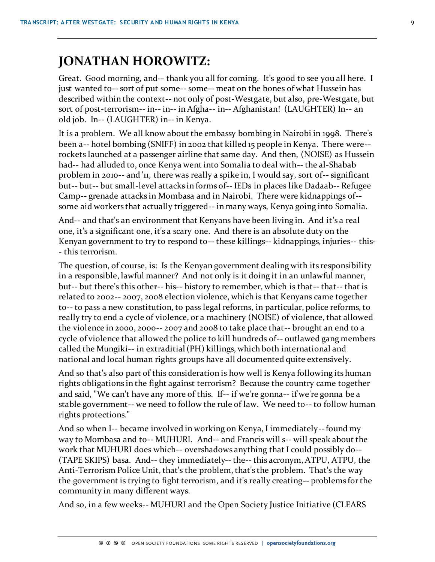### **JONATHAN HOROWITZ:**

Great. Good morning, and-- thank you all for coming. It's good to see you all here. I just wanted to-- sort of put some-- some-- meat on the bones of what Hussein has described within the context-- not only of post-Westgate, but also, pre-Westgate, but sort of post-terrorism-- in-- in-- in Afgha-- in-- Afghanistan! (LAUGHTER) In-- an old job. In-- (LAUGHTER) in-- in Kenya.

It is a problem. We all know about the embassy bombing in Nairobi in 1998. There's been a-- hotel bombing (SNIFF) in 2002 that killed 15 people in Kenya. There were- rockets launched at a passenger airline that same day. And then, (NOISE) as Hussein had-- had alluded to, once Kenya went into Somalia to deal with-- the al-Shabab problem in 2010-- and '11, there was really a spike in, I would say, sort of-- significant but-- but-- but small-level attacks in forms of-- IEDs in places like Dadaab-- Refugee Camp-- grenade attacks in Mombasa and in Nairobi. There were kidnappings of- some aid workers that actually triggered-- in many ways, Kenya going into Somalia.

And-- and that's an environment that Kenyans have been living in. And it's a real one, it's a significant one, it's a scary one. And there is an absolute duty on the Kenyan government to try to respond to-- these killings-- kidnappings, injuries-- this- - this terrorism.

The question, of course, is: Is the Kenyan government dealing with its responsibility in a responsible, lawful manner? And not only is it doing it in an unlawful manner, but-- but there's this other-- his-- history to remember, which is that-- that-- that is related to 2002-- 2007, 2008 election violence, which is that Kenyans came together to-- to pass a new constitution, to pass legal reforms, in particular, police reforms, to really try to end a cycle of violence, or a machinery (NOISE) of violence, that allowed the violence in 2000, 2000-- 2007 and 2008 to take place that-- brought an end to a cycle of violence that allowed the police to kill hundreds of-- outlawed gang members called the Mungiki-- in extraditial (PH) killings, which both international and national and local human rights groups have all documented quite extensively.

And so that's also part of this consideration is how well is Kenya following its human rights obligations in the fight against terrorism? Because the country came together and said, "We can't have any more of this. If-- if we're gonna-- if we're gonna be a stable government-- we need to follow the rule of law. We need to-- to follow human rights protections."

And so when I-- became involved in working on Kenya, I immediately--found my way to Mombasa and to-- MUHURI. And-- and Francis will s-- will speak about the work that MUHURI does which-- overshadows anything that I could possibly do-- (TAPE SKIPS) basa. And-- they immediately-- the-- this acronym, ATPU, ATPU, the Anti-Terrorism Police Unit, that's the problem, that's the problem. That's the way the government is trying to fight terrorism, and it's really creating-- problems for the community in many different ways.

And so, in a few weeks-- MUHURI and the Open Society Justice Initiative (CLEARS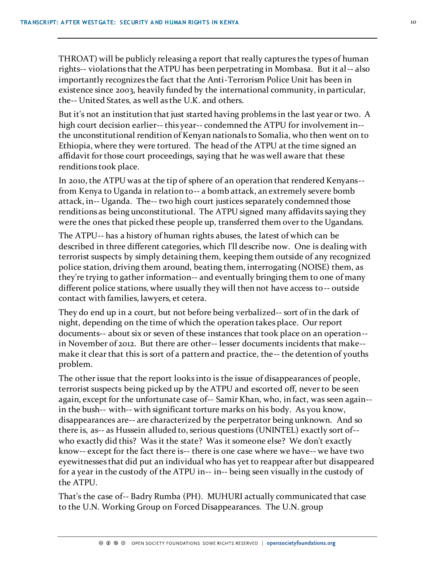THROAT) will be publicly releasing a report that really captures the types of human rights-- violations that the ATPU has been perpetrating in Mombasa. But it al-- also importantly recognizes the fact that the Anti-Terrorism Police Unit has been in existence since 2003, heavily funded by the international community, in particular, the-- United States, as well as the U.K. and others.

But it's not an institution that just started having problems in the last year or two. A high court decision earlier-- this year-- condemned the ATPU for involvement in- the unconstitutional rendition of Kenyan nationals to Somalia, who then went on to Ethiopia, where they were tortured. The head of the ATPU at the time signed an affidavit for those court proceedings, saying that he was well aware that these renditions took place.

In 2010, the ATPU was at the tip of sphere of an operation that rendered Kenyans- from Kenya to Uganda in relation to-- a bomb attack, an extremely severe bomb attack, in-- Uganda. The-- two high court justices separately condemned those renditions as being unconstitutional. The ATPU signed many affidavits saying they were the ones that picked these people up, transferred them over to the Ugandans.

The ATPU-- has a history of human rights abuses, the latest of which can be described in three different categories, which I'll describe now. One is dealing with terrorist suspects by simply detaining them, keeping them outside of any recognized police station, driving them around, beating them, interrogating (NOISE) them, as they're trying to gather information-- and eventually bringing them to one of many different police stations, where usually they will then not have access to-- outside contact with families, lawyers, et cetera.

They do end up in a court, but not before being verbalized-- sort of in the dark of night, depending on the time of which the operation takes place. Our report documents-- about six or seven of these instances that took place on an operation- in November of 2012. But there are other-- lesser documents incidents that make- make it clear that this is sort of a pattern and practice, the-- the detention of youths problem.

The other issue that the report looks into is the issue of disappearances of people, terrorist suspects being picked up by the ATPU and escorted off, never to be seen again, except for the unfortunate case of-- Samir Khan, who, in fact, was seen again- in the bush-- with-- with significant torture marks on his body. As you know, disappearances are-- are characterized by the perpetrator being unknown. And so there is, as-- as Hussein alluded to, serious questions (UNINTEL) exactly sort of- who exactly did this? Was it the state? Was it someone else? We don't exactly know-- except for the fact there is-- there is one case where we have-- we have two eyewitnesses that did put an individual who has yet to reappear after but disappeared for a year in the custody of the ATPU in-- in-- being seen visually in the custody of the ATPU.

That's the case of-- Badry Rumba (PH). MUHURI actually communicated that case to the U.N. Working Group on Forced Disappearances. The U.N. group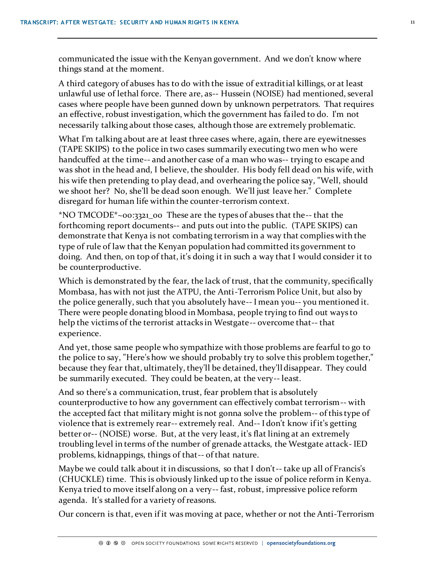communicated the issue with the Kenyan government. And we don't know where things stand at the moment.

A third category of abuses has to do with the issue of extraditial killings, or at least unlawful use of lethal force. There are, as-- Hussein (NOISE) had mentioned, several cases where people have been gunned down by unknown perpetrators. That requires an effective, robust investigation, which the government has failed to do. I'm not necessarily talking about those cases, although those are extremely problematic.

What I'm talking about are at least three cases where, again, there are eyewitnesses (TAPE SKIPS) to the police in two cases summarily executing two men who were handcuffed at the time-- and another case of a man who was-- trying to escape and was shot in the head and, I believe, the shoulder. His body fell dead on his wife, with his wife then pretending to play dead, and overhearing the police say, "Well, should we shoot her? No, she'll be dead soon enough. We'll just leave her." Complete disregard for human life within the counter-terrorism context.

\*NO TMCODE\*~00:3321\_00 These are the types of abuses that the-- that the forthcoming report documents-- and puts out into the public. (TAPE SKIPS) can demonstrate that Kenya is not combating terrorism in a way that complies with the type of rule of law that the Kenyan population had committed its government to doing. And then, on top of that, it's doing it in such a way that I would consider it to be counterproductive.

Which is demonstrated by the fear, the lack of trust, that the community, specifically Mombasa, has with not just the ATPU, the Anti-Terrorism Police Unit, but also by the police generally, such that you absolutely have-- I mean you-- you mentioned it. There were people donating blood in Mombasa, people trying to find out ways to help the victims of the terrorist attacks in Westgate-- overcome that-- that experience.

And yet, those same people who sympathize with those problems are fearful to go to the police to say, "Here's how we should probably try to solve this problem together," because they fear that, ultimately, they'll be detained, they'll disappear. They could be summarily executed. They could be beaten, at the very-- least.

And so there's a communication, trust, fear problem that is absolutely counterproductive to how any government can effectively combat terrorism-- with the accepted fact that military might is not gonna solve the problem-- of this type of violence that is extremely rear-- extremely real. And-- I don't know if it's getting better or-- (NOISE) worse. But, at the very least, it's flat lining at an extremely troubling level in terms of the number of grenade attacks, the Westgate attack- IED problems, kidnappings, things of that-- of that nature.

Maybe we could talk about it in discussions, so that I don't-- take up all of Francis's (CHUCKLE) time. This is obviously linked up to the issue of police reform in Kenya. Kenya tried to move itself along on a very-- fast, robust, impressive police reform agenda. It's stalled for a variety of reasons.

Our concern is that, even if it was moving at pace, whether or not the Anti-Terrorism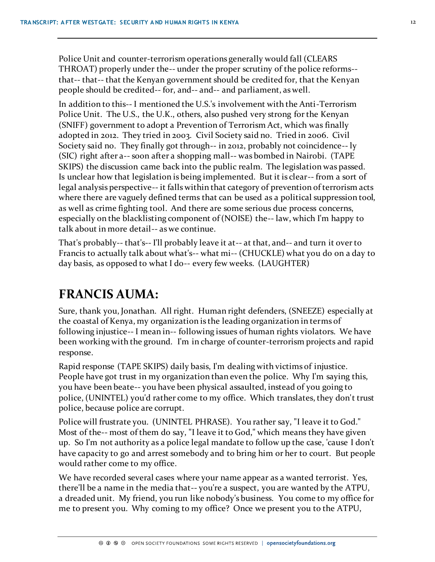Police Unit and counter-terrorism operations generally would fall (CLEARS THROAT) properly under the-- under the proper scrutiny of the police reforms- that-- that-- that the Kenyan government should be credited for, that the Kenyan people should be credited-- for, and-- and-- and parliament, as well.

In addition to this-- I mentioned the U.S.'s involvement with the Anti-Terrorism Police Unit. The U.S., the U.K., others, also pushed very strong for the Kenyan (SNIFF) government to adopt a Prevention of Terrorism Act, which was finally adopted in 2012. They tried in 2003. Civil Society said no. Tried in 2006. Civil Society said no. They finally got through-- in 2012, probably not coincidence-- ly (SIC) right after a-- soon after a shopping mall-- was bombed in Nairobi. (TAPE SKIPS) the discussion came back into the public realm. The legislation was passed. Is unclear how that legislation is being implemented. But it is clear-- from a sort of legal analysis perspective-- it falls within that category of prevention of terrorism acts where there are vaguely defined terms that can be used as a political suppression tool, as well as crime fighting tool. And there are some serious due process concerns, especially on the blacklisting component of (NOISE) the-- law, which I'm happy to talk about in more detail-- as we continue.

That's probably-- that's-- I'll probably leave it at-- at that, and-- and turn it over to Francis to actually talk about what's-- what mi-- (CHUCKLE) what you do on a day to day basis, as opposed to what I do-- every few weeks. (LAUGHTER)

#### **FRANCIS AUMA:**

Sure, thank you, Jonathan. All right. Human right defenders, (SNEEZE) especially at the coastal of Kenya, my organization is the leading organization in terms of following injustice-- I mean in-- following issues of human rights violators. We have been working with the ground. I'm in charge of counter-terrorism projects and rapid response.

Rapid response (TAPE SKIPS) daily basis, I'm dealing with victims of injustice. People have got trust in my organization than even the police. Why I'm saying this, you have been beate-- you have been physical assaulted, instead of you going to police, (UNINTEL) you'd rather come to my office. Which translates, they don't trust police, because police are corrupt.

Police will frustrate you. (UNINTEL PHRASE). You rather say, "I leave it to God." Most of the-- most of them do say, "I leave it to God," which means they have given up. So I'm not authority as a police legal mandate to follow up the case, 'cause I don't have capacity to go and arrest somebody and to bring him or her to court. But people would rather come to my office.

We have recorded several cases where your name appear as a wanted terrorist. Yes, there'll be a name in the media that-- you're a suspect, you are wanted by the ATPU, a dreaded unit. My friend, you run like nobody's business. You come to my office for me to present you. Why coming to my office? Once we present you to the ATPU,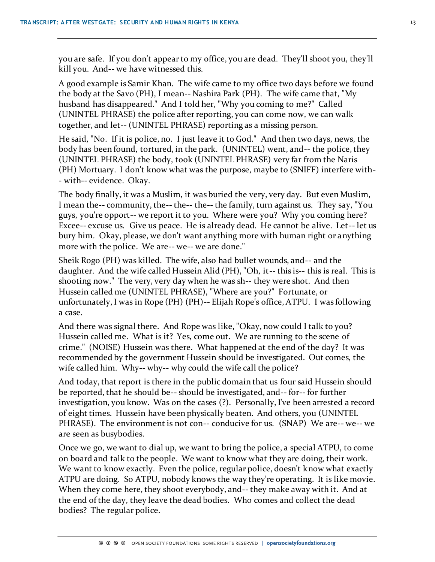you are safe. If you don't appear to my office, you are dead. They'll shoot you, they'll kill you. And-- we have witnessed this.

A good example is Samir Khan. The wife came to my office two days before we found the body at the Savo (PH), I mean-- Nashira Park (PH). The wife came that, "My husband has disappeared." And I told her, "Why you coming to me?" Called (UNINTEL PHRASE) the police after reporting, you can come now, we can walk together, and let-- (UNINTEL PHRASE) reporting as a missing person.

He said, "No. If it is police, no. I just leave it to God." And then two days, news, the body has been found, tortured, in the park. (UNINTEL) went, and-- the police, they (UNINTEL PHRASE) the body, took (UNINTEL PHRASE) very far from the Naris (PH) Mortuary. I don't know what was the purpose, maybe to (SNIFF) interfere with- - with-- evidence. Okay.

The body finally, it was a Muslim, it was buried the very, very day. But even Muslim, I mean the-- community, the-- the-- the-- the family, turn against us. They say, "You guys, you're opport-- we report it to you. Where were you? Why you coming here? Excee-- excuse us. Give us peace. He is already dead. He cannot be alive. Let-- let us bury him. Okay, please, we don't want anything more with human right or anything more with the police. We are-- we-- we are done."

Sheik Rogo (PH) was killed. The wife, also had bullet wounds, and-- and the daughter. And the wife called Hussein Alid (PH), "Oh, it-- this is-- this is real. This is shooting now." The very, very day when he was sh-- they were shot. And then Hussein called me (UNINTEL PHRASE), "Where are you?" Fortunate, or unfortunately, I was in Rope (PH) (PH)-- Elijah Rope's office, ATPU. I was following a case.

And there was signal there. And Rope was like, "Okay, now could I talk to you? Hussein called me. What is it? Yes, come out. We are running to the scene of crime." (NOISE) Hussein was there. What happened at the end of the day? It was recommended by the government Hussein should be investigated. Out comes, the wife called him. Why-- why-- why could the wife call the police?

And today, that report is there in the public domain that us four said Hussein should be reported, that he should be-- should be investigated, and-- for-- for further investigation, you know. Was on the cases (?). Personally, I've been arrested a record of eight times. Hussein have been physically beaten. And others, you (UNINTEL PHRASE). The environment is not con-- conducive for us. (SNAP) We are-- we-- we are seen as busybodies.

Once we go, we want to dial up, we want to bring the police, a special ATPU, to come on board and talk to the people. We want to know what they are doing, their work. We want to know exactly. Even the police, regular police, doesn't know what exactly ATPU are doing. So ATPU, nobody knows the way they're operating. It is like movie. When they come here, they shoot everybody, and-- they make away with it. And at the end of the day, they leave the dead bodies. Who comes and collect the dead bodies? The regular police.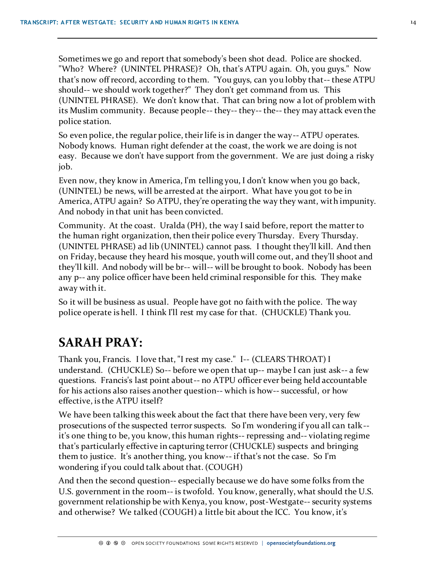Sometimes we go and report that somebody's been shot dead. Police are shocked. "Who? Where? (UNINTEL PHRASE)? Oh, that's ATPU again. Oh, you guys." Now that's now off record, according to them. "You guys, can you lobby that-- these ATPU should-- we should work together?" They don't get command from us. This (UNINTEL PHRASE). We don't know that. That can bring now a lot of problem with its Muslim community. Because people-- they-- they-- the-- they may attack even the police station.

So even police, the regular police, their life is in danger the way-- ATPU operates. Nobody knows. Human right defender at the coast, the work we are doing is not easy. Because we don't have support from the government. We are just doing a risky job.

Even now, they know in America, I'm telling you, I don't know when you go back, (UNINTEL) be news, will be arrested at the airport. What have you got to be in America, ATPU again? So ATPU, they're operating the way they want, with impunity. And nobody in that unit has been convicted.

Community. At the coast. Uralda (PH), the way I said before, report the matter to the human right organization, then their police every Thursday. Every Thursday. (UNINTEL PHRASE) ad lib (UNINTEL) cannot pass. I thought they'll kill. And then on Friday, because they heard his mosque, youth will come out, and they'll shoot and they'll kill. And nobody will be br-- will-- will be brought to book. Nobody has been any p-- any police officer have been held criminal responsible for this. They make away with it.

So it will be business as usual. People have got no faith with the police. The way police operate is hell. I think I'll rest my case for that. (CHUCKLE) Thank you.

# **SARAH PRAY:**

Thank you, Francis. I love that, "I rest my case." I-- (CLEARS THROAT) I understand. (CHUCKLE) So-- before we open that up-- maybe I can just ask-- a few questions. Francis's last point about-- no ATPU officer ever being held accountable for his actions also raises another question-- which is how-- successful, or how effective, is the ATPU itself?

We have been talking this week about the fact that there have been very, very few prosecutions of the suspected terror suspects. So I'm wondering if you all can talk- it's one thing to be, you know, this human rights-- repressing and-- violating regime that's particularly effective in capturing terror (CHUCKLE) suspects and bringing them to justice. It's another thing, you know-- if that's not the case. So I'm wondering if you could talk about that. (COUGH)

And then the second question-- especially because we do have some folks from the U.S. government in the room-- is twofold. You know, generally, what should the U.S. government relationship be with Kenya, you know, post-Westgate-- security systems and otherwise? We talked (COUGH) a little bit about the ICC. You know, it's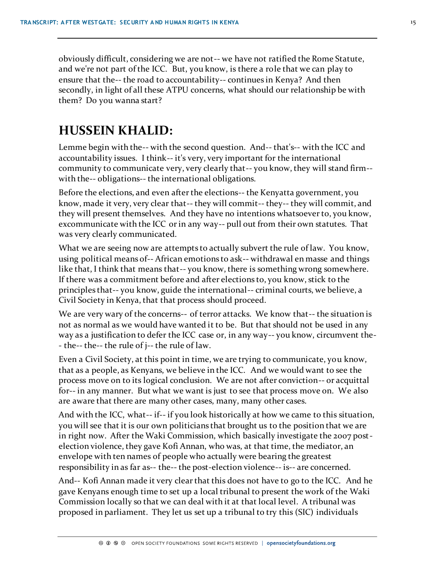obviously difficult, considering we are not-- we have not ratified the Rome Statute, and we're not part of the ICC. But, you know, is there a role that we can play to ensure that the-- the road to accountability-- continues in Kenya? And then secondly, in light of all these ATPU concerns, what should our relationship be with them? Do you wanna start?

#### **HUSSEIN KHALID:**

Lemme begin with the-- with the second question. And-- that's-- with the ICC and accountability issues. I think-- it's very, very important for the international community to communicate very, very clearly that-- you know, they will stand firm- with the-- obligations-- the international obligations.

Before the elections, and even after the elections-- the Kenyatta government, you know, made it very, very clear that-- they will commit-- they-- they will commit, and they will present themselves. And they have no intentions whatsoever to, you know, excommunicate with the ICC or in any way-- pull out from their own statutes. That was very clearly communicated.

What we are seeing now are attempts to actually subvert the rule of law. You know, using political means of-- African emotions to ask-- withdrawal en masse and things like that, I think that means that-- you know, there is something wrong somewhere. If there was a commitment before and after elections to, you know, stick to the principles that-- you know, guide the international-- criminal courts, we believe, a Civil Society in Kenya, that that process should proceed.

We are very wary of the concerns-- of terror attacks. We know that-- the situation is not as normal as we would have wanted it to be. But that should not be used in any way as a justification to defer the ICC case or, in any way-- you know, circumvent the- - the-- the-- the rule of j-- the rule of law.

Even a Civil Society, at this point in time, we are trying to communicate, you know, that as a people, as Kenyans, we believe in the ICC. And we would want to see the process move on to its logical conclusion. We are not after conviction-- or acquittal for-- in any manner. But what we want is just to see that process move on. We also are aware that there are many other cases, many, many other cases.

And with the ICC, what-- if-- if you look historically at how we came to this situation, you will see that it is our own politicians that brought us to the position that we are in right now. After the Waki Commission, which basically investigate the 2007 postelection violence, they gave Kofi Annan, who was, at that time, the mediator, an envelope with ten names of people who actually were bearing the greatest responsibility in as far as-- the-- the post-election violence-- is-- are concerned.

And-- Kofi Annan made it very clear that this does not have to go to the ICC. And he gave Kenyans enough time to set up a local tribunal to present the work of the Waki Commission locally so that we can deal with it at that local level. A tribunal was proposed in parliament. They let us set up a tribunal to try this (SIC) individuals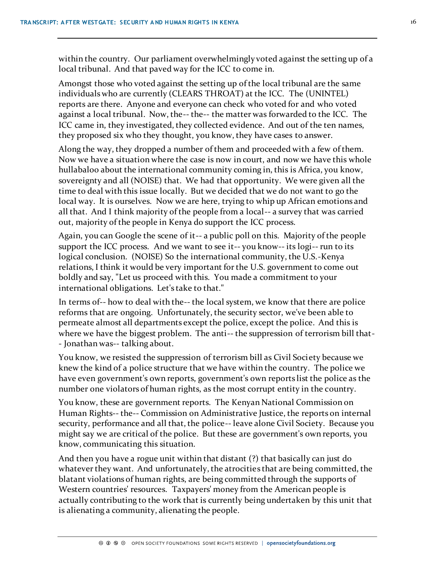within the country. Our parliament overwhelmingly voted against the setting up of a local tribunal. And that paved way for the ICC to come in.

Amongst those who voted against the setting up of the local tribunal are the same individuals who are currently (CLEARS THROAT) at the ICC. The (UNINTEL) reports are there. Anyone and everyone can check who voted for and who voted against a local tribunal. Now, the-- the-- the matter was forwarded to the ICC. The ICC came in, they investigated, they collected evidence. And out of the ten names, they proposed six who they thought, you know, they have cases to answer.

Along the way, they dropped a number of them and proceeded with a few of them. Now we have a situation where the case is now in court, and now we have this whole hullabaloo about the international community coming in, this is Africa, you know, sovereignty and all (NOISE) that. We had that opportunity. We were given all the time to deal with this issue locally. But we decided that we do not want to go the local way. It is ourselves. Now we are here, trying to whip up African emotions and all that. And I think majority of the people from a local-- a survey that was carried out, majority of the people in Kenya do support the ICC process.

Again, you can Google the scene of it-- a public poll on this. Majority of the people support the ICC process. And we want to see it-- you know-- its logi-- run to its logical conclusion. (NOISE) So the international community, the U.S.-Kenya relations, I think it would be very important for the U.S. government to come out boldly and say, "Let us proceed with this. You made a commitment to your international obligations. Let's take to that."

In terms of-- how to deal with the-- the local system, we know that there are police reforms that are ongoing. Unfortunately, the security sector, we've been able to permeate almost all departments except the police, except the police. And this is where we have the biggest problem. The anti-- the suppression of terrorism bill that- - Jonathan was-- talking about.

You know, we resisted the suppression of terrorism bill as Civil Society because we knew the kind of a police structure that we have within the country. The police we have even government's own reports, government's own reports list the police as the number one violators of human rights, as the most corrupt entity in the country.

You know, these are government reports. The Kenyan National Commission on Human Rights-- the-- Commission on Administrative Justice, the reports on internal security, performance and all that, the police-- leave alone Civil Society. Because you might say we are critical of the police. But these are government's own reports, you know, communicating this situation.

And then you have a rogue unit within that distant (?) that basically can just do whatever they want. And unfortunately, the atrocities that are being committed, the blatant violations of human rights, are being committed through the supports of Western countries' resources. Taxpayers' money from the American people is actually contributing to the work that is currently being undertaken by this unit that is alienating a community, alienating the people.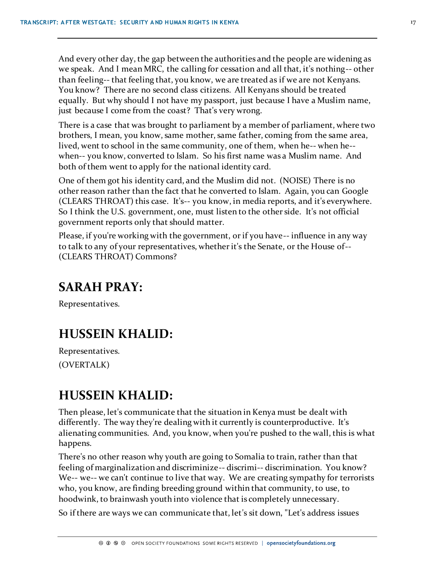And every other day, the gap between the authorities and the people are widening as we speak. And I mean MRC, the calling for cessation and all that, it's nothing-- other than feeling-- that feeling that, you know, we are treated as if we are not Kenyans. You know? There are no second class citizens. All Kenyans should be treated equally. But why should I not have my passport, just because I have a Muslim name, just because I come from the coast? That's very wrong.

There is a case that was brought to parliament by a member of parliament, where two brothers, I mean, you know, same mother, same father, coming from the same area, lived, went to school in the same community, one of them, when he-- when he- when-- you know, converted to Islam. So his first name was a Muslim name. And both of them went to apply for the national identity card.

One of them got his identity card, and the Muslim did not. (NOISE) There is no other reason rather than the fact that he converted to Islam. Again, you can Google (CLEARS THROAT) this case. It's-- you know, in media reports, and it's everywhere. So I think the U.S. government, one, must listen to the other side. It's not official government reports only that should matter.

Please, if you're working with the government, or if you have-- influence in any way to talk to any of your representatives, whether it's the Senate, or the House of-- (CLEARS THROAT) Commons?

### **SARAH PRAY:**

Representatives.

### **HUSSEIN KHALID:**

Representatives. (OVERTALK)

# **HUSSEIN KHALID:**

Then please, let's communicate that the situation in Kenya must be dealt with differently. The way they're dealing with it currently is counterproductive. It's alienating communities. And, you know, when you're pushed to the wall, this is what happens.

There's no other reason why youth are going to Somalia to train, rather than that feeling of marginalization and discriminize-- discrimi-- discrimination. You know? We-- we-- we can't continue to live that way. We are creating sympathy for terrorists who, you know, are finding breeding ground within that community, to use, to hoodwink, to brainwash youth into violence that is completely unnecessary.

So if there are ways we can communicate that, let's sit down, "Let's address issues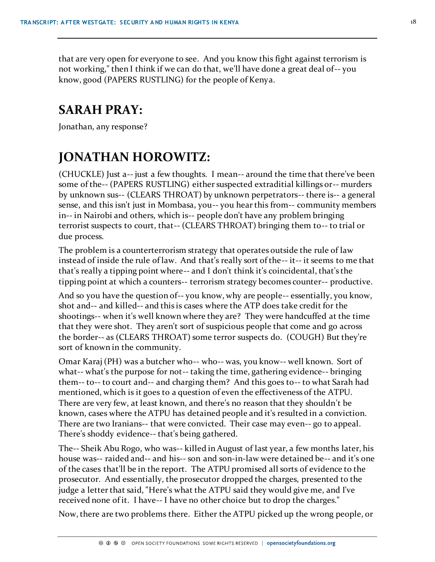that are very open for everyone to see. And you know this fight against terrorism is not working," then I think if we can do that, we'll have done a great deal of-- you know, good (PAPERS RUSTLING) for the people of Kenya.

### **SARAH PRAY:**

Jonathan, any response?

# **JONATHAN HOROWITZ:**

(CHUCKLE) Just a-- just a few thoughts. I mean-- around the time that there've been some of the-- (PAPERS RUSTLING) either suspected extraditial killings or-- murders by unknown sus-- (CLEARS THROAT) by unknown perpetrators-- there is-- a general sense, and this isn't just in Mombasa, you-- you hear this from-- community members in-- in Nairobi and others, which is-- people don't have any problem bringing terrorist suspects to court, that-- (CLEARS THROAT) bringing them to-- to trial or due process.

The problem is a counterterrorism strategy that operates outside the rule of law instead of inside the rule of law. And that's really sort of the-- it-- it seems to me that that's really a tipping point where-- and I don't think it's coincidental, that's the tipping point at which a counters-- terrorism strategy becomes counter-- productive.

And so you have the question of-- you know, why are people-- essentially, you know, shot and-- and killed-- and this is cases where the ATP does take credit for the shootings-- when it's well known where they are? They were handcuffed at the time that they were shot. They aren't sort of suspicious people that come and go across the border-- as (CLEARS THROAT) some terror suspects do. (COUGH) But they're sort of known in the community.

Omar Karaj (PH) was a butcher who-- who-- was, you know-- well known. Sort of what-- what's the purpose for not-- taking the time, gathering evidence-- bringing them-- to-- to court and-- and charging them? And this goes to-- to what Sarah had mentioned, which is it goes to a question of even the effectiveness of the ATPU. There are very few, at least known, and there's no reason that they shouldn't be known, cases where the ATPU has detained people and it's resulted in a conviction. There are two Iranians-- that were convicted. Their case may even-- go to appeal. There's shoddy evidence-- that's being gathered.

The-- Sheik Abu Rogo, who was-- killed in August of last year, a few months later, his house was-- raided and-- and his-- son and son-in-law were detained be-- and it's one of the cases that'll be in the report. The ATPU promised all sorts of evidence to the prosecutor. And essentially, the prosecutor dropped the charges, presented to the judge a letter that said, "Here's what the ATPU said they would give me, and I've received none of it. I have-- I have no other choice but to drop the charges."

Now, there are two problems there. Either the ATPU picked up the wrong people, or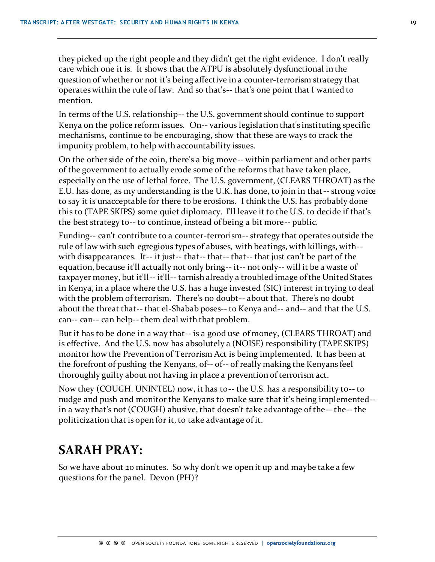they picked up the right people and they didn't get the right evidence. I don't really care which one it is. It shows that the ATPU is absolutely dysfunctional in the question of whether or not it's being affective in a counter-terrorism strategy that operates within the rule of law. And so that's-- that's one point that I wanted to mention.

In terms of the U.S. relationship-- the U.S. government should continue to support Kenya on the police reform issues. On-- various legislation that's instituting specific mechanisms, continue to be encouraging, show that these are ways to crack the impunity problem, to help with accountability issues.

On the other side of the coin, there's a big move-- within parliament and other parts of the government to actually erode some of the reforms that have taken place, especially on the use of lethal force. The U.S. government, (CLEARS THROAT) as the E.U. has done, as my understanding is the U.K. has done, to join in that-- strong voice to say it is unacceptable for there to be erosions. I think the U.S. has probably done this to (TAPE SKIPS) some quiet diplomacy. I'll leave it to the U.S. to decide if that's the best strategy to-- to continue, instead of being a bit more-- public.

Funding-- can't contribute to a counter-terrorism-- strategy that operates outside the rule of law with such egregious types of abuses, with beatings, with killings, with- with disappearances. It-- it just-- that-- that-- that-- that just can't be part of the equation, because it'll actually not only bring-- it-- not only-- will it be a waste of taxpayer money, but it'll-- it'll-- tarnish already a troubled image of the United States in Kenya, in a place where the U.S. has a huge invested (SIC) interest in trying to deal with the problem of terrorism. There's no doubt-- about that. There's no doubt about the threat that-- that el-Shabab poses-- to Kenya and-- and-- and that the U.S. can-- can-- can help-- them deal with that problem.

But it has to be done in a way that-- is a good use of money, (CLEARS THROAT) and is effective. And the U.S. now has absolutely a (NOISE) responsibility (TAPE SKIPS) monitor how the Prevention of Terrorism Act is being implemented. It has been at the forefront of pushing the Kenyans, of-- of-- of really making the Kenyans feel thoroughly guilty about not having in place a prevention of terrorism act.

Now they (COUGH. UNINTEL) now, it has to-- the U.S. has a responsibility to-- to nudge and push and monitor the Kenyans to make sure that it's being implemented- in a way that's not (COUGH) abusive, that doesn't take advantage of the-- the-- the politicization that is open for it, to take advantage of it.

### **SARAH PRAY:**

So we have about 20 minutes. So why don't we open it up and maybe take a few questions for the panel. Devon (PH)?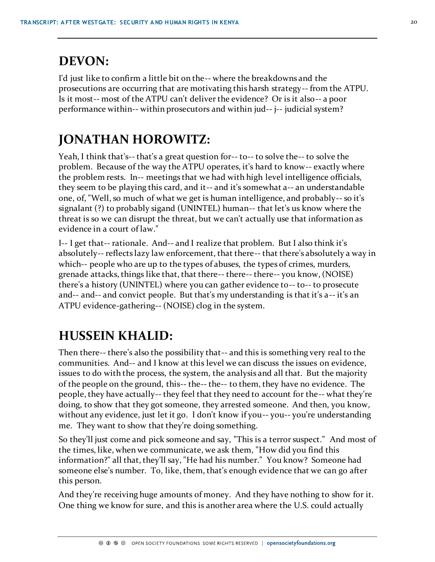# **DEVON:**

I'd just like to confirm a little bit on the-- where the breakdowns and the prosecutions are occurring that are motivating this harsh strategy-- from the ATPU. Is it most-- most of the ATPU can't deliver the evidence? Or is it also-- a poor performance within-- within prosecutors and within jud-- j-- judicial system?

# **JONATHAN HOROWITZ:**

Yeah, I think that's-- that's a great question for-- to-- to solve the-- to solve the problem. Because of the way the ATPU operates, it's hard to know-- exactly where the problem rests. In-- meetings that we had with high level intelligence officials, they seem to be playing this card, and it-- and it's somewhat a-- an understandable one, of, "Well, so much of what we get is human intelligence, and probably-- so it's signalant (?) to probably sigand (UNINTEL) human-- that let's us know where the threat is so we can disrupt the threat, but we can't actually use that information as evidence in a court of law."

I-- I get that-- rationale. And-- and I realize that problem. But I also think it's absolutely-- reflects lazy law enforcement, that there-- that there's absolutely a way in which-- people who are up to the types of abuses, the types of crimes, murders, grenade attacks, things like that, that there-- there-- there-- you know, (NOISE) there's a history (UNINTEL) where you can gather evidence to-- to-- to prosecute and-- and-- and convict people. But that's my understanding is that it's a-- it's an ATPU evidence-gathering-- (NOISE) clog in the system.

# **HUSSEIN KHALID:**

Then there-- there's also the possibility that-- and this is something very real to the communities. And-- and I know at this level we can discuss the issues on evidence, issues to do with the process, the system, the analysis and all that. But the majority of the people on the ground, this-- the-- the-- to them, they have no evidence. The people, they have actually-- they feel that they need to account for the-- what they're doing, to show that they got someone, they arrested someone. And then, you know, without any evidence, just let it go. I don't know if you-- you-- you're understanding me. They want to show that they're doing something.

So they'll just come and pick someone and say, "This is a terror suspect." And most of the times, like, when we communicate, we ask them, "How did you find this information?" all that, they'll say, "He had his number." You know? Someone had someone else's number. To, like, them, that's enough evidence that we can go after this person.

And they're receiving huge amounts of money. And they have nothing to show for it. One thing we know for sure, and this is another area where the U.S. could actually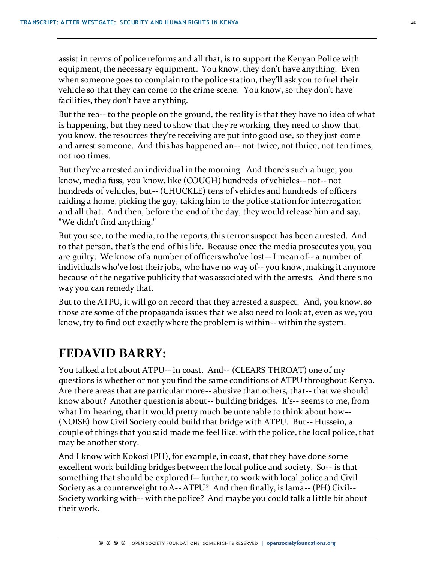assist in terms of police reforms and all that, is to support the Kenyan Police with equipment, the necessary equipment. You know, they don't have anything. Even when someone goes to complain to the police station, they'll ask you to fuel their vehicle so that they can come to the crime scene. You know, so they don't have facilities, they don't have anything.

But the rea-- to the people on the ground, the reality is that they have no idea of what is happening, but they need to show that they're working, they need to show that, you know, the resources they're receiving are put into good use, so they just come and arrest someone. And this has happened an-- not twice, not thrice, not ten times, not 100 times.

But they've arrested an individual in the morning. And there's such a huge, you know, media fuss, you know, like (COUGH) hundreds of vehicles-- not-- not hundreds of vehicles, but-- (CHUCKLE) tens of vehicles and hundreds of officers raiding a home, picking the guy, taking him to the police station for interrogation and all that. And then, before the end of the day, they would release him and say, "We didn't find anything."

But you see, to the media, to the reports, this terror suspect has been arrested. And to that person, that's the end of his life. Because once the media prosecutes you, you are guilty. We know of a number of officers who've lost-- I mean of-- a number of individuals who've lost their jobs, who have no way of-- you know, making it anymore because of the negative publicity that was associated with the arrests. And there's no way you can remedy that.

But to the ATPU, it will go on record that they arrested a suspect. And, you know, so those are some of the propaganda issues that we also need to look at, even as we, you know, try to find out exactly where the problem is within-- within the system.

### **FEDAVID BARRY:**

You talked a lot about ATPU-- in coast. And-- (CLEARS THROAT) one of my questions is whether or not you find the same conditions of ATPU throughout Kenya. Are there areas that are particular more-- abusive than others, that-- that we should know about? Another question is about-- building bridges. It's-- seems to me, from what I'm hearing, that it would pretty much be untenable to think about how-- (NOISE) how Civil Society could build that bridge with ATPU. But-- Hussein, a couple of things that you said made me feel like, with the police, the local police, that may be another story.

And I know with Kokosi (PH), for example, in coast, that they have done some excellent work building bridges between the local police and society. So-- is that something that should be explored f-- further, to work with local police and Civil Society as a counterweight to A-- ATPU? And then finally, is lama-- (PH) Civil-- Society working with-- with the police? And maybe you could talk a little bit about their work.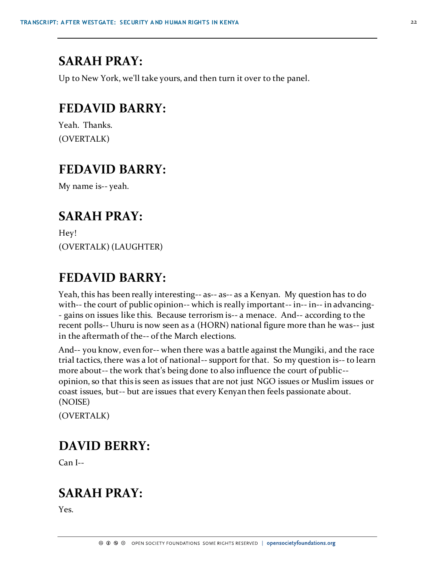### **SARAH PRAY:**

Up to New York, we'll take yours, and then turn it over to the panel.

### **FEDAVID BARRY:**

Yeah. Thanks. (OVERTALK)

#### **FEDAVID BARRY:**

My name is-- yeah.

#### **SARAH PRAY:**

Hey! (OVERTALK) (LAUGHTER)

### **FEDAVID BARRY:**

Yeah, this has been really interesting-- as-- as-- as a Kenyan. My question has to do with-- the court of public opinion-- which is really important-- in-- in-- in advancing-- gains on issues like this. Because terrorism is-- a menace. And-- according to the recent polls-- Uhuru is now seen as a (HORN) national figure more than he was-- just in the aftermath of the-- of the March elections.

And-- you know, even for-- when there was a battle against the Mungiki, and the race trial tactics, there was a lot of national-- support for that. So my question is-- to learn more about-- the work that's being done to also influence the court of public- opinion, so that this is seen as issues that are not just NGO issues or Muslim issues or coast issues, but-- but are issues that every Kenyan then feels passionate about. (NOISE)

(OVERTALK)

#### **DAVID BERRY:**

Can I--

### **SARAH PRAY:**

Yes.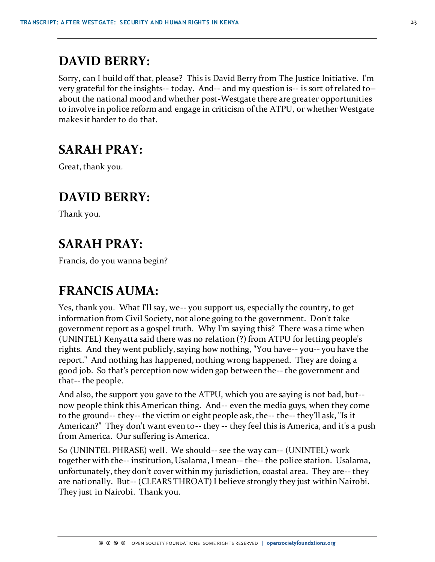# **DAVID BERRY:**

Sorry, can I build off that, please? This is David Berry from The Justice Initiative. I'm very grateful for the insights-- today. And-- and my question is-- is sort of related to- about the national mood and whether post-Westgate there are greater opportunities to involve in police reform and engage in criticism of the ATPU, or whether Westgate makes it harder to do that.

# **SARAH PRAY:**

Great, thank you.

# **DAVID BERRY:**

Thank you.

# **SARAH PRAY:**

Francis, do you wanna begin?

# **FRANCIS AUMA:**

Yes, thank you. What I'll say, we-- you support us, especially the country, to get information from Civil Society, not alone going to the government. Don't take government report as a gospel truth. Why I'm saying this? There was a time when (UNINTEL) Kenyatta said there was no relation (?) from ATPU for letting people's rights. And they went publicly, saying how nothing, "You have-- you-- you have the report." And nothing has happened, nothing wrong happened. They are doing a good job. So that's perception now widen gap between the-- the government and that-- the people.

And also, the support you gave to the ATPU, which you are saying is not bad, but- now people think this American thing. And-- even the media guys, when they come to the ground-- they-- the victim or eight people ask, the-- the-- they'll ask, "Is it American?" They don't want even to-- they -- they feel this is America, and it's a push from America. Our suffering is America.

So (UNINTEL PHRASE) well. We should-- see the way can-- (UNINTEL) work together with the-- institution, Usalama, I mean-- the-- the police station. Usalama, unfortunately, they don't cover within my jurisdiction, coastal area. They are-- they are nationally. But-- (CLEARS THROAT) I believe strongly they just within Nairobi. They just in Nairobi. Thank you.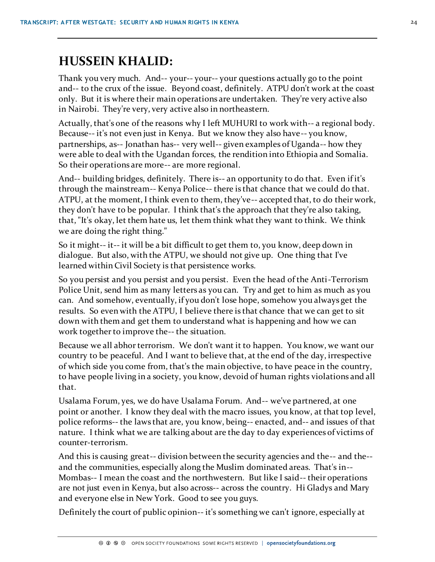### **HUSSEIN KHALID:**

Thank you very much. And-- your-- your-- your questions actually go to the point and-- to the crux of the issue. Beyond coast, definitely. ATPU don't work at the coast only. But it is where their main operations are undertaken. They're very active also in Nairobi. They're very, very active also in northeastern.

Actually, that's one of the reasons why I left MUHURI to work with-- a regional body. Because-- it's not even just in Kenya. But we know they also have-- you know, partnerships, as-- Jonathan has-- very well-- given examples of Uganda-- how they were able to deal with the Ugandan forces, the rendition into Ethiopia and Somalia. So their operations are more-- are more regional.

And-- building bridges, definitely. There is-- an opportunity to do that. Even if it's through the mainstream-- Kenya Police-- there is that chance that we could do that. ATPU, at the moment, I think even to them, they've-- accepted that, to do their work, they don't have to be popular. I think that's the approach that they're also taking, that, "It's okay, let them hate us, let them think what they want to think. We think we are doing the right thing."

So it might-- it-- it will be a bit difficult to get them to, you know, deep down in dialogue. But also, with the ATPU, we should not give up. One thing that I've learned within Civil Society is that persistence works.

So you persist and you persist and you persist. Even the head of the Anti-Terrorism Police Unit, send him as many letters as you can. Try and get to him as much as you can. And somehow, eventually, if you don't lose hope, somehow you always get the results. So even with the ATPU, I believe there is that chance that we can get to sit down with them and get them to understand what is happening and how we can work together to improve the-- the situation.

Because we all abhor terrorism. We don't want it to happen. You know, we want our country to be peaceful. And I want to believe that, at the end of the day, irrespective of which side you come from, that's the main objective, to have peace in the country, to have people living in a society, you know, devoid of human rights violations and all that.

Usalama Forum, yes, we do have Usalama Forum. And-- we've partnered, at one point or another. I know they deal with the macro issues, you know, at that top level, police reforms-- the laws that are, you know, being-- enacted, and-- and issues of that nature. I think what we are talking about are the day to day experiences of victims of counter-terrorism.

And this is causing great-- division between the security agencies and the-- and the- and the communities, especially along the Muslim dominated areas. That's in-- Mombas-- I mean the coast and the northwestern. But like I said-- their operations are not just even in Kenya, but also across-- across the country. Hi Gladys and Mary and everyone else in New York. Good to see you guys.

Definitely the court of public opinion-- it's something we can't ignore, especially at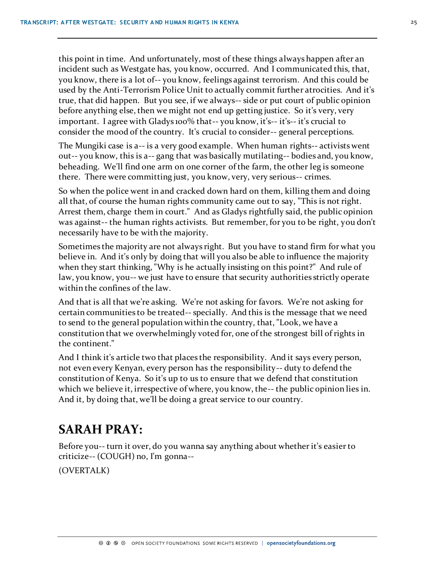this point in time. And unfortunately, most of these things always happen after an incident such as Westgate has, you know, occurred. And I communicated this, that, you know, there is a lot of-- you know, feelings against terrorism. And this could be used by the Anti-Terrorism Police Unit to actually commit further atrocities. And it's true, that did happen. But you see, if we always-- side or put court of public opinion before anything else, then we might not end up getting justice. So it's very, very important. I agree with Gladys 100% that-- you know, it's-- it's-- it's crucial to consider the mood of the country. It's crucial to consider-- general perceptions.

The Mungiki case is a-- is a very good example. When human rights-- activists went out-- you know, this is a-- gang that was basically mutilating-- bodies and, you know, beheading. We'll find one arm on one corner of the farm, the other leg is someone there. There were committing just, you know, very, very serious-- crimes.

So when the police went in and cracked down hard on them, killing them and doing all that, of course the human rights community came out to say, "This is not right. Arrest them, charge them in court." And as Gladys rightfully said, the public opinion was against-- the human rights activists. But remember, for you to be right, you don't necessarily have to be with the majority.

Sometimes the majority are not always right. But you have to stand firm for what you believe in. And it's only by doing that will you also be able to influence the majority when they start thinking, "Why is he actually insisting on this point?" And rule of law, you know, you-- we just have to ensure that security authorities strictly operate within the confines of the law.

And that is all that we're asking. We're not asking for favors. We're not asking for certain communities to be treated-- specially. And this is the message that we need to send to the general population within the country, that, "Look, we have a constitution that we overwhelmingly voted for, one of the strongest bill of rights in the continent."

And I think it's article two that places the responsibility. And it says every person, not even every Kenyan, every person has the responsibility-- duty to defend the constitution of Kenya. So it's up to us to ensure that we defend that constitution which we believe it, irrespective of where, you know, the-- the public opinion lies in. And it, by doing that, we'll be doing a great service to our country.

# **SARAH PRAY:**

Before you-- turn it over, do you wanna say anything about whether it's easier to criticize-- (COUGH) no, I'm gonna--

(OVERTALK)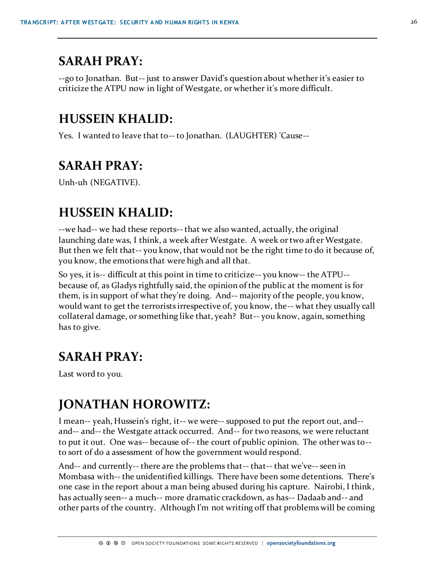### **SARAH PRAY:**

--go to Jonathan. But-- just to answer David's question about whether it's easier to criticize the ATPU now in light of Westgate, or whether it's more difficult.

#### **HUSSEIN KHALID:**

Yes. I wanted to leave that to-- to Jonathan. (LAUGHTER) 'Cause--

# **SARAH PRAY:**

Unh-uh (NEGATIVE).

#### **HUSSEIN KHALID:**

--we had-- we had these reports-- that we also wanted, actually, the original launching date was, I think, a week after Westgate. A week or two after Westgate. But then we felt that-- you know, that would not be the right time to do it because of, you know, the emotions that were high and all that.

So yes, it is-- difficult at this point in time to criticize-- you know-- the ATPU- because of, as Gladys rightfully said, the opinion of the public at the moment is for them, is in support of what they're doing. And-- majority of the people, you know, would want to get the terrorists irrespective of, you know, the-- what they usually call collateral damage, or something like that, yeah? But-- you know, again, something has to give.

### **SARAH PRAY:**

Last word to you.

# **JONATHAN HOROWITZ:**

I mean-- yeah, Hussein's right, it-- we were-- supposed to put the report out, and- and-- and-- the Westgate attack occurred. And-- for two reasons, we were reluctant to put it out. One was-- because of-- the court of public opinion. The other was to- to sort of do a assessment of how the government would respond.

And-- and currently-- there are the problems that-- that-- that we've-- seen in Mombasa with-- the unidentified killings. There have been some detentions. There's one case in the report about a man being abused during his capture. Nairobi, I think, has actually seen-- a much-- more dramatic crackdown, as has-- Dadaab and-- and other parts of the country. Although I'm not writing off that problems will be coming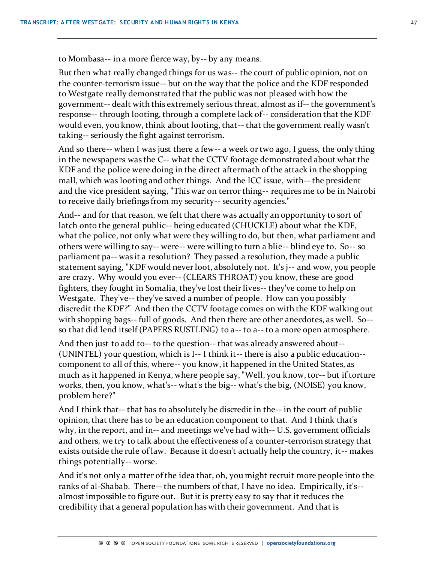to Mombasa-- in a more fierce way, by-- by any means.

But then what really changed things for us was-- the court of public opinion, not on the counter-terrorism issue-- but on the way that the police and the KDF responded to Westgate really demonstrated that the public was not pleased with how the government-- dealt with this extremely serious threat, almost as if-- the government's response-- through looting, through a complete lack of-- consideration that the KDF would even, you know, think about looting, that-- that the government really wasn't taking-- seriously the fight against terrorism.

And so there-- when I was just there a few-- a week or two ago, I guess, the only thing in the newspapers was the C-- what the CCTV footage demonstrated about what the KDF and the police were doing in the direct aftermath of the attack in the shopping mall, which was looting and other things. And the ICC issue, with-- the president and the vice president saying, "This war on terror thing-- requires me to be in Nairobi to receive daily briefings from my security-- security agencies."

And-- and for that reason, we felt that there was actually an opportunity to sort of latch onto the general public-- being educated (CHUCKLE) about what the KDF, what the police, not only what were they willing to do, but then, what parliament and others were willing to say-- were-- were willing to turn a blie-- blind eye to. So-- so parliament pa-- was it a resolution? They passed a resolution, they made a public statement saying, "KDF would never loot, absolutely not. It's j-- and wow, you people are crazy. Why would you ever-- (CLEARS THROAT) you know, these are good fighters, they fought in Somalia, they've lost their lives-- they've come to help on Westgate. They've-- they've saved a number of people. How can you possibly discredit the KDF?" And then the CCTV footage comes on with the KDF walking out with shopping bags-- full of goods. And then there are other anecdotes, as well. So- so that did lend itself (PAPERS RUSTLING) to a-- to a-- to a more open atmosphere.

And then just to add to-- to the question-- that was already answered about-- (UNINTEL) your question, which is I-- I think it-- there is also a public education- component to all of this, where-- you know, it happened in the United States, as much as it happened in Kenya, where people say, "Well, you know, tor-- but if torture works, then, you know, what's-- what's the big-- what's the big, (NOISE) you know, problem here?"

And I think that-- that has to absolutely be discredit in the-- in the court of public opinion, that there has to be an education component to that. And I think that's why, in the report, and in-- and meetings we've had with-- U.S. government officials and others, we try to talk about the effectiveness of a counter-terrorism strategy that exists outside the rule of law. Because it doesn't actually help the country, it-- makes things potentially-- worse.

And it's not only a matter of the idea that, oh, you might recruit more people into the ranks of al-Shabab. There-- the numbers of that, I have no idea. Empirically, it's- almost impossible to figure out. But it is pretty easy to say that it reduces the credibility that a general population has with their government. And that is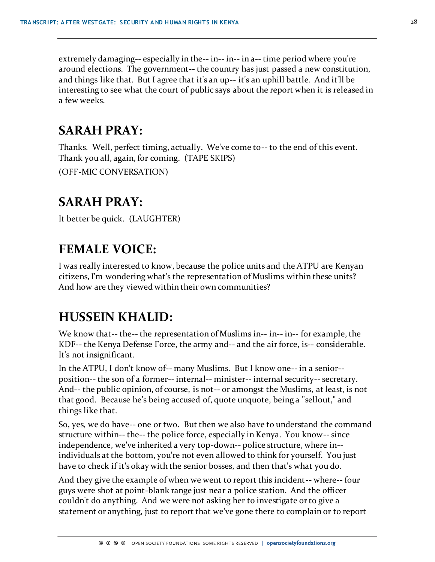extremely damaging-- especially in the-- in-- in-- in a-- time period where you're around elections. The government-- the country has just passed a new constitution, and things like that. But I agree that it's an up-- it's an uphill battle. And it'll be interesting to see what the court of public says about the report when it is released in a few weeks.

# **SARAH PRAY:**

Thanks. Well, perfect timing, actually. We've come to-- to the end of this event. Thank you all, again, for coming. (TAPE SKIPS) (OFF-MIC CONVERSATION)

# **SARAH PRAY:**

It better be quick. (LAUGHTER)

# **FEMALE VOICE:**

I was really interested to know, because the police units and the ATPU are Kenyan citizens, I'm wondering what's the representation of Muslims within these units? And how are they viewed within their own communities?

# **HUSSEIN KHALID:**

We know that-- the-- the representation of Muslims in-- in-- in-- for example, the KDF-- the Kenya Defense Force, the army and-- and the air force, is-- considerable. It's not insignificant.

In the ATPU, I don't know of-- many Muslims. But I know one-- in a senior- position-- the son of a former-- internal-- minister-- internal security-- secretary. And-- the public opinion, of course, is not-- or amongst the Muslims, at least, is not that good. Because he's being accused of, quote unquote, being a "sellout," and things like that.

So, yes, we do have-- one or two. But then we also have to understand the command structure within-- the-- the police force, especially in Kenya. You know-- since independence, we've inherited a very top-down-- police structure, where in- individuals at the bottom, you're not even allowed to think for yourself. You just have to check if it's okay with the senior bosses, and then that's what you do.

And they give the example of when we went to report this incident-- where-- four guys were shot at point-blank range just near a police station. And the officer couldn't do anything. And we were not asking her to investigate or to give a statement or anything, just to report that we've gone there to complain or to report